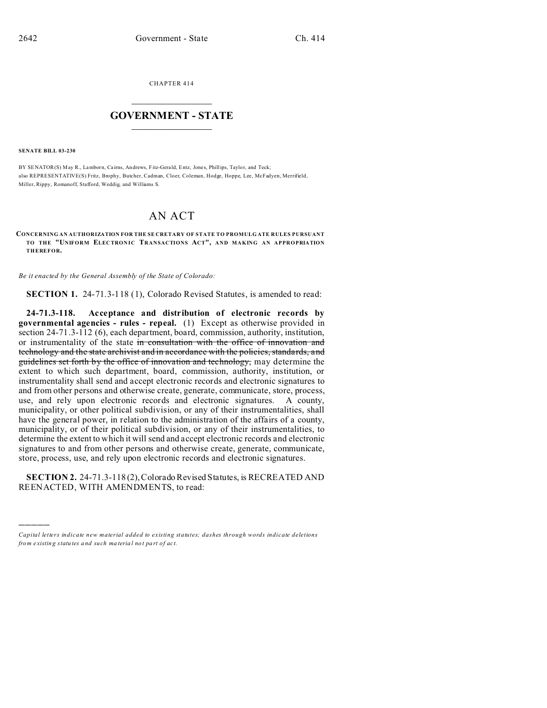CHAPTER 414  $\overline{\phantom{a}}$  , where  $\overline{\phantom{a}}$ 

## **GOVERNMENT - STATE**  $\_$   $\_$

**SENATE BILL 03-230**

)))))

BY SENATOR(S) May R., Lamborn, Ca irns, Andrews, Fitz-Gerald, Entz, Jones, Phillips, Taylo r, and Teck; also REPRESENTATIVE(S) Fritz, Brophy, Butcher, Cadman, Cloer, Coleman, Hodge, Hoppe, Lee, McFadyen, Merrifield, Miller, Rippy, Romanoff, Stafford, Weddig, and Williams S.

## AN ACT

**CONCERNING AN AUTHORIZATION FOR THE SE CRETARY OF STATE TO PROMULG ATE RULES PURSUANT TO THE "UNIFORM ELECTRONIC TRANSACTIONS ACT", AND MAKING AN APPROPRIATION THEREFOR.**

*Be it enacted by the General Assembly of the State of Colorado:*

**SECTION 1.** 24-71.3-118 (1), Colorado Revised Statutes, is amended to read:

**24-71.3-118. Acceptance and distribution of electronic records by governmental agencies - rules - repeal.** (1) Except as otherwise provided in section 24-71.3-112 (6), each department, board, commission, authority, institution, or instrumentality of the state in consultation with the office of innovation and technology and the state archivist and in accordance with the policies, standards, and guidelines set forth by the office of innovation and technology, may determine the extent to which such department, board, commission, authority, institution, or instrumentality shall send and accept electronic records and electronic signatures to and from other persons and otherwise create, generate, communicate, store, process, use, and rely upon electronic records and electronic signatures. A county, municipality, or other political subdivision, or any of their instrumentalities, shall have the general power, in relation to the administration of the affairs of a county, municipality, or of their political subdivision, or any of their instrumentalities, to determine the extent to which it will send and accept electronic records and electronic signatures to and from other persons and otherwise create, generate, communicate, store, process, use, and rely upon electronic records and electronic signatures.

**SECTION 2.** 24-71.3-118 (2), Colorado Revised Statutes, is RECREATED AND REENACTED, WITH AMENDMENTS, to read:

*Capital letters indicate new material added to existing statutes; dashes through words indicate deletions from e xistin g statu tes a nd such ma teria l no t pa rt of ac t.*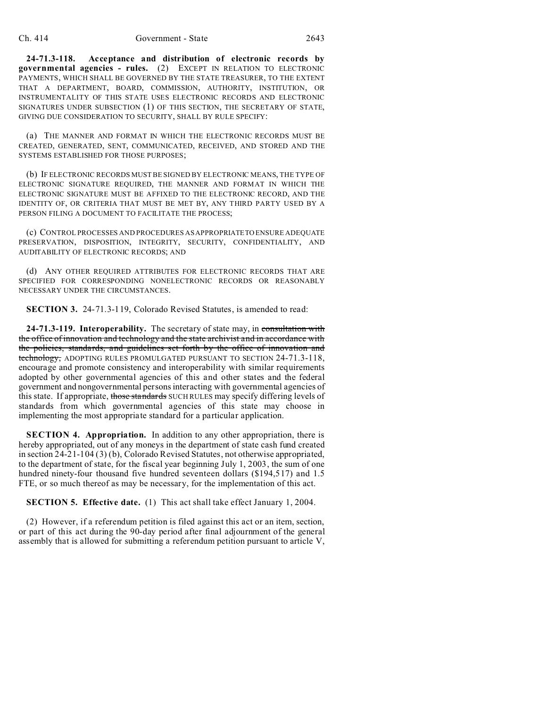**24-71.3-118. Acceptance and distribution of electronic records by governmental agencies - rules.** (2) EXCEPT IN RELATION TO ELECTRONIC PAYMENTS, WHICH SHALL BE GOVERNED BY THE STATE TREASURER, TO THE EXTENT THAT A DEPARTMENT, BOARD, COMMISSION, AUTHORITY, INSTITUTION, OR INSTRUMENTALITY OF THIS STATE USES ELECTRONIC RECORDS AND ELECTRONIC SIGNATURES UNDER SUBSECTION (1) OF THIS SECTION, THE SECRETARY OF STATE, GIVING DUE CONSIDERATION TO SECURITY, SHALL BY RULE SPECIFY:

(a) THE MANNER AND FORMAT IN WHICH THE ELECTRONIC RECORDS MUST BE CREATED, GENERATED, SENT, COMMUNICATED, RECEIVED, AND STORED AND THE SYSTEMS ESTABLISHED FOR THOSE PURPOSES;

(b) IF ELECTRONIC RECORDS MUST BE SIGNED BY ELECTRONIC MEANS, THE TYPE OF ELECTRONIC SIGNATURE REQUIRED, THE MANNER AND FORMAT IN WHICH THE ELECTRONIC SIGNATURE MUST BE AFFIXED TO THE ELECTRONIC RECORD, AND THE IDENTITY OF, OR CRITERIA THAT MUST BE MET BY, ANY THIRD PARTY USED BY A PERSON FILING A DOCUMENT TO FACILITATE THE PROCESS;

(c) CONTROL PROCESSES AND PROCEDURES AS APPROPRIATETO ENSURE ADEQUATE PRESERVATION, DISPOSITION, INTEGRITY, SECURITY, CONFIDENTIALITY, AND AUDITABILITY OF ELECTRONIC RECORDS; AND

(d) ANY OTHER REQUIRED ATTRIBUTES FOR ELECTRONIC RECORDS THAT ARE SPECIFIED FOR CORRESPONDING NONELECTRONIC RECORDS OR REASONABLY NECESSARY UNDER THE CIRCUMSTANCES.

**SECTION 3.** 24-71.3-119, Colorado Revised Statutes, is amended to read:

**24-71.3-119. Interoperability.** The secretary of state may, in consultation with the office of innovation and technology and the state archivist and in accordance with the policies, standards, and guidelines set forth by the office of innovation and technology, ADOPTING RULES PROMULGATED PURSUANT TO SECTION 24-71.3-118, encourage and promote consistency and interoperability with similar requirements adopted by other governmental agencies of this and other states and the federal government and nongovernmental persons interacting with governmental agencies of this state. If appropriate, those standards SUCH RULES may specify differing levels of standards from which governmental agencies of this state may choose in implementing the most appropriate standard for a particular application.

**SECTION 4. Appropriation.** In addition to any other appropriation, there is hereby appropriated, out of any moneys in the department of state cash fund created in section 24-21-104 (3) (b), Colorado Revised Statutes, not otherwise appropriated, to the department of state, for the fiscal year beginning July 1, 2003, the sum of one hundred ninety-four thousand five hundred seventeen dollars (\$194,517) and 1.5 FTE, or so much thereof as may be necessary, for the implementation of this act.

**SECTION 5. Effective date.** (1) This act shall take effect January 1, 2004.

(2) However, if a referendum petition is filed against this act or an item, section, or part of this act during the 90-day period after final adjournment of the general assembly that is allowed for submitting a referendum petition pursuant to article V,